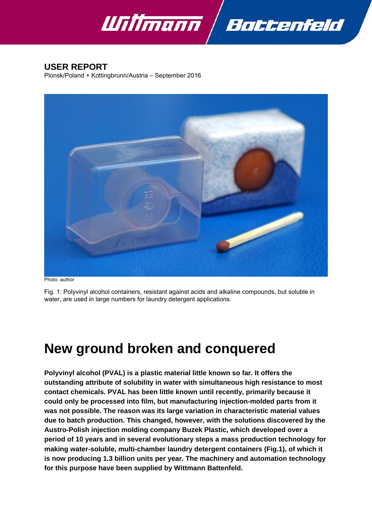



# **USER REPORT**

Plonsk/Poland + Kottingbrunn/Austria – September 2016



Photo: author

Fig. 1: Polyvinyl alcohol containers, resistant against acids and alkaline compounds, but soluble in water, are used in large numbers for laundry detergent applications.

# **New ground broken and conquered**

**Polyvinyl alcohol (PVAL) is a plastic material little known so far. It offers the outstanding attribute of solubility in water with simultaneous high resistance to most contact chemicals. PVAL has been little known until recently, primarily because it could only be processed into film, but manufacturing injection-molded parts from it was not possible. The reason was its large variation in characteristic material values due to batch production. This changed, however, with the solutions discovered by the Austro-Polish injection molding company Buzek Plastic, which developed over a period of 10 years and in several evolutionary steps a mass production technology for making water-soluble, multi-chamber laundry detergent containers (Fig.1), of which it is now producing 1.3 billion units per year. The machinery and automation technology for this purpose have been supplied by Wittmann Battenfeld.**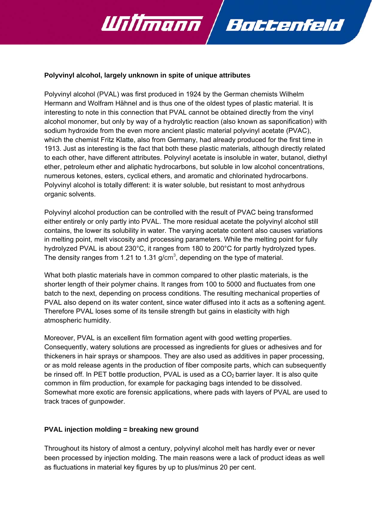

#### **Polyvinyl alcohol, largely unknown in spite of unique attributes**

Polyvinyl alcohol (PVAL) was first produced in 1924 by the German chemists Wilhelm Hermann and Wolfram Hähnel and is thus one of the oldest types of plastic material. It is interesting to note in this connection that PVAL cannot be obtained directly from the vinyl alcohol monomer, but only by way of a hydrolytic reaction (also known as saponification) with sodium hydroxide from the even more ancient plastic material polyvinyl acetate (PVAC), which the chemist Fritz Klatte, also from Germany, had already produced for the first time in 1913. Just as interesting is the fact that both these plastic materials, although directly related to each other, have different attributes. Polyvinyl acetate is insoluble in water, butanol, diethyl ether, petroleum ether and aliphatic hydrocarbons, but soluble in low alcohol concentrations, numerous ketones, esters, cyclical ethers, and aromatic and chlorinated hydrocarbons. Polyvinyl alcohol is totally different: it is water soluble, but resistant to most anhydrous organic solvents.

Polyvinyl alcohol production can be controlled with the result of PVAC being transformed either entirely or only partly into PVAL. The more residual acetate the polyvinyl alcohol still contains, the lower its solubility in water. The varying acetate content also causes variations in melting point, melt viscosity and processing parameters. While the melting point for fully hydrolyzed PVAL is about 230°C, it ranges from 180 to 200°C for partly hydrolyzed types. The density ranges from 1.21 to 1.31 g/cm<sup>3</sup>, depending on the type of material.

What both plastic materials have in common compared to other plastic materials, is the shorter length of their polymer chains. It ranges from 100 to 5000 and fluctuates from one batch to the next, depending on process conditions. The resulting mechanical properties of PVAL also depend on its water content, since water diffused into it acts as a softening agent. Therefore PVAL loses some of its tensile strength but gains in elasticity with high atmospheric humidity.

Moreover, PVAL is an excellent film formation agent with good wetting properties. Consequently, watery solutions are processed as ingredients for glues or adhesives and for thickeners in hair sprays or shampoos. They are also used as additives in paper processing, or as mold release agents in the production of fiber composite parts, which can subsequently be rinsed off. In PET bottle production, PVAL is used as a  $CO<sub>2</sub>$  barrier layer. It is also quite common in film production, for example for packaging bags intended to be dissolved. Somewhat more exotic are forensic applications, where pads with layers of PVAL are used to track traces of gunpowder.

#### **PVAL injection molding = breaking new ground**

Throughout its history of almost a century, polyvinyl alcohol melt has hardly ever or never been processed by injection molding. The main reasons were a lack of product ideas as well as fluctuations in material key figures by up to plus/minus 20 per cent.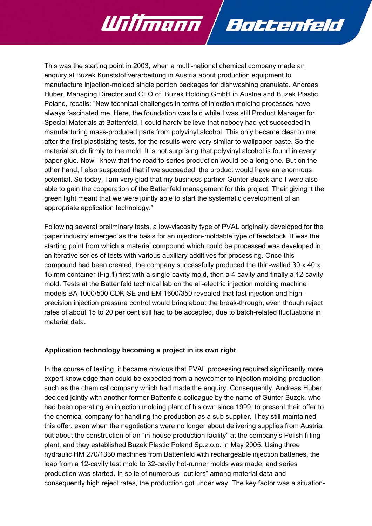This was the starting point in 2003, when a multi-national chemical company made an enquiry at Buzek Kunststoffverarbeitung in Austria about production equipment to manufacture injection-molded single portion packages for dishwashing granulate. Andreas Huber, Managing Director and CEO of Buzek Holding GmbH in Austria and Buzek Plastic Poland, recalls: "New technical challenges in terms of injection molding processes have always fascinated me. Here, the foundation was laid while I was still Product Manager for Special Materials at Battenfeld. I could hardly believe that nobody had yet succeeded in manufacturing mass-produced parts from polyvinyl alcohol. This only became clear to me after the first plasticizing tests, for the results were very similar to wallpaper paste. So the material stuck firmly to the mold. It is not surprising that polyvinyl alcohol is found in every paper glue. Now I knew that the road to series production would be a long one. But on the other hand, I also suspected that if we succeeded, the product would have an enormous potential. So today, I am very glad that my business partner Günter Buzek and I were also able to gain the cooperation of the Battenfeld management for this project. Their giving it the green light meant that we were jointly able to start the systematic development of an appropriate application technology."

Bottenfeld

<u> Ulifimann</u>

Following several preliminary tests, a low-viscosity type of PVAL originally developed for the paper industry emerged as the basis for an injection-moldable type of feedstock. It was the starting point from which a material compound which could be processed was developed in an iterative series of tests with various auxiliary additives for processing. Once this compound had been created, the company successfully produced the thin-walled 30 x 40 x 15 mm container (Fig.1) first with a single-cavity mold, then a 4-cavity and finally a 12-cavity mold. Tests at the Battenfeld technical lab on the all-electric injection molding machine models BA 1000/500 CDK-SE and EM 1600/350 revealed that fast injection and highprecision injection pressure control would bring about the break-through, even though reject rates of about 15 to 20 per cent still had to be accepted, due to batch-related fluctuations in material data.

## **Application technology becoming a project in its own right**

In the course of testing, it became obvious that PVAL processing required significantly more expert knowledge than could be expected from a newcomer to injection molding production such as the chemical company which had made the enquiry. Consequently, Andreas Huber decided jointly with another former Battenfeld colleague by the name of Günter Buzek, who had been operating an injection molding plant of his own since 1999, to present their offer to the chemical company for handling the production as a sub supplier. They still maintained this offer, even when the negotiations were no longer about delivering supplies from Austria, but about the construction of an "in-house production facility" at the company's Polish filling plant, and they established Buzek Plastic Poland Sp.z.o.o. in May 2005. Using three hydraulic HM 270/1330 machines from Battenfeld with rechargeable injection batteries, the leap from a 12-cavity test mold to 32-cavity hot-runner molds was made, and series production was started. In spite of numerous "outliers" among material data and consequently high reject rates, the production got under way. The key factor was a situation-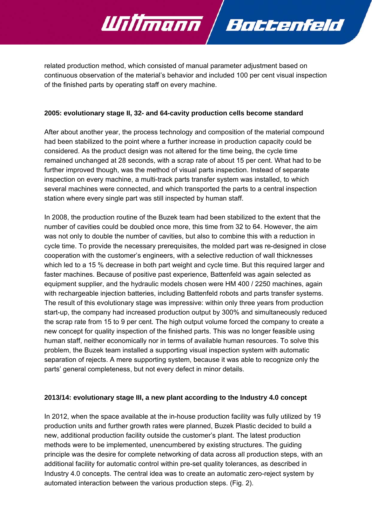

related production method, which consisted of manual parameter adjustment based on continuous observation of the material's behavior and included 100 per cent visual inspection of the finished parts by operating staff on every machine.

#### **2005: evolutionary stage II, 32- and 64-cavity production cells become standard**

After about another year, the process technology and composition of the material compound had been stabilized to the point where a further increase in production capacity could be considered. As the product design was not altered for the time being, the cycle time remained unchanged at 28 seconds, with a scrap rate of about 15 per cent. What had to be further improved though, was the method of visual parts inspection. Instead of separate inspection on every machine, a multi-track parts transfer system was installed, to which several machines were connected, and which transported the parts to a central inspection station where every single part was still inspected by human staff.

In 2008, the production routine of the Buzek team had been stabilized to the extent that the number of cavities could be doubled once more, this time from 32 to 64. However, the aim was not only to double the number of cavities, but also to combine this with a reduction in cycle time. To provide the necessary prerequisites, the molded part was re-designed in close cooperation with the customer's engineers, with a selective reduction of wall thicknesses which led to a 15 % decrease in both part weight and cycle time. But this required larger and faster machines. Because of positive past experience, Battenfeld was again selected as equipment supplier, and the hydraulic models chosen were HM 400 / 2250 machines, again with rechargeable injection batteries, including Battenfeld robots and parts transfer systems. The result of this evolutionary stage was impressive: within only three years from production start-up, the company had increased production output by 300% and simultaneously reduced the scrap rate from 15 to 9 per cent. The high output volume forced the company to create a new concept for quality inspection of the finished parts. This was no longer feasible using human staff, neither economically nor in terms of available human resources. To solve this problem, the Buzek team installed a supporting visual inspection system with automatic separation of rejects. A mere supporting system, because it was able to recognize only the parts' general completeness, but not every defect in minor details.

#### **2013/14: evolutionary stage III, a new plant according to the Industry 4.0 concept**

In 2012, when the space available at the in-house production facility was fully utilized by 19 production units and further growth rates were planned, Buzek Plastic decided to build a new, additional production facility outside the customer's plant. The latest production methods were to be implemented, unencumbered by existing structures. The guiding principle was the desire for complete networking of data across all production steps, with an additional facility for automatic control within pre-set quality tolerances, as described in Industry 4.0 concepts. The central idea was to create an automatic zero-reject system by automated interaction between the various production steps. (Fig. 2).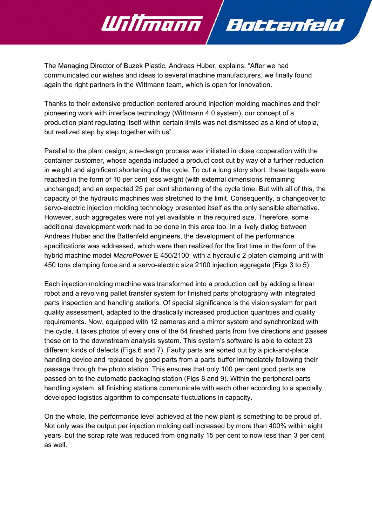

Battenfeld

Willmann

Thanks to their extensive production centered around injection molding machines and their pioneering work with interface technology (Wittmann 4.0 system), our concept of a production plant regulating itself within certain limits was not dismissed as a kind of utopia, but realized step by step together with us".

Parallel to the plant design, a re-design process was initiated in close cooperation with the container customer, whose agenda included a product cost cut by way of a further reduction in weight and significant shortening of the cycle. To cut a long story short: these targets were reached in the form of 10 per cent less weight (with external dimensions remaining unchanged) and an expected 25 per cent shortening of the cycle time. But with all of this, the capacity of the hydraulic machines was stretched to the limit. Consequently, a changeover to servo-electric injection molding technology presented itself as the only sensible alternative. However, such aggregates were not yet available in the required size. Therefore, some additional development work had to be done in this area too. In a lively dialog between Andreas Huber and the Battenfeld engineers, the development of the performance specifications was addressed, which were then realized for the first time in the form of the hybrid machine model *MacroPower* E 450/2100, with a hydraulic 2-platen clamping unit with 450 tons clamping force and a servo-electric size 2100 injection aggregate (Figs 3 to 5).

Each injection molding machine was transformed into a production cell by adding a linear robot and a revolving pallet transfer system for finished parts photography with integrated parts inspection and handling stations. Of special significance is the vision system for part quality assessment, adapted to the drastically increased production quantities and quality requirements. Now, equipped with 12 cameras and a mirror system and synchronized with the cycle, it takes photos of every one of the 64 finished parts from five directions and passes these on to the downstream analysis system. This system's software is able to detect 23 different kinds of defects (Figs.6 and 7). Faulty parts are sorted out by a pick-and-place handling device and replaced by good parts from a parts buffer immediately following their passage through the photo station. This ensures that only 100 per cent good parts are passed on to the automatic packaging station (Figs 8 and 9). Within the peripheral parts handling system, all finishing stations communicate with each other according to a specially developed logistics algorithm to compensate fluctuations in capacity.

On the whole, the performance level achieved at the new plant is something to be proud of. Not only was the output per injection molding cell increased by more than 400% within eight years, but the scrap rate was reduced from originally 15 per cent to now less than 3 per cent as well.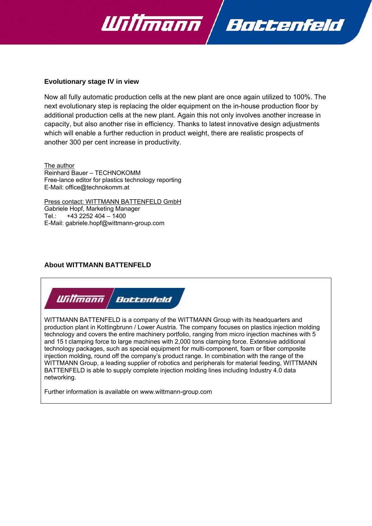



#### **Evolutionary stage IV in view**

Now all fully automatic production cells at the new plant are once again utilized to 100%. The next evolutionary step is replacing the older equipment on the in-house production floor by additional production cells at the new plant. Again this not only involves another increase in capacity, but also another rise in efficiency. Thanks to latest innovative design adjustments which will enable a further reduction in product weight, there are realistic prospects of another 300 per cent increase in productivity.

The author Reinhard Bauer – TECHNOKOMM Free-lance editor for plastics technology reporting E-Mail: office@technokomm.at

Press contact: WITTMANN BATTENFELD GmbH Gabriele Hopf, Marketing Manager Tel.: +43 2252 404 – 1400 E-Mail: gabriele.hopf@wittmann-group.com

## **About WITTMANN BATTENFELD**



WITTMANN BATTENFELD is a company of the WITTMANN Group with its headquarters and production plant in Kottingbrunn / Lower Austria. The company focuses on plastics injection molding technology and covers the entire machinery portfolio, ranging from micro injection machines with 5 and 15 t clamping force to large machines with 2,000 tons clamping force. Extensive additional technology packages, such as special equipment for multi-component, foam or fiber composite injection molding, round off the company's product range. In combination with the range of the WITTMANN Group, a leading supplier of robotics and peripherals for material feeding, WITTMANN BATTENFELD is able to supply complete injection molding lines including Industry 4.0 data networking.

Further information is available on www.wittmann-group.com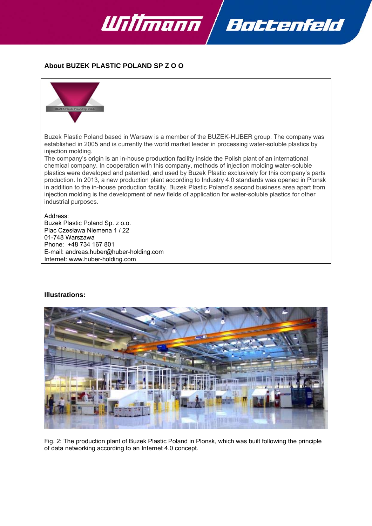

**About BUZEK PLASTIC POLAND SP Z O O** 



Buzek Plastic Poland based in Warsaw is a member of the BUZEK-HUBER group. The company was established in 2005 and is currently the world market leader in processing water-soluble plastics by injection molding.

The company's origin is an in-house production facility inside the Polish plant of an international chemical company. In cooperation with this company, methods of injection molding water-soluble plastics were developed and patented, and used by Buzek Plastic exclusively for this company's parts production. In 2013, a new production plant according to Industry 4.0 standards was opened in Plonsk in addition to the in-house production facility. Buzek Plastic Poland's second business area apart from injection molding is the development of new fields of application for water-soluble plastics for other industrial purposes.

#### Address:

Buzek Plastic Poland Sp. z o.o. Plac Czesława Niemena 1 / 22 01-748 Warszawa Phone: +48 734 167 801 E-mail: andreas.huber@huber-holding.com Internet: www.huber-holding.com

#### **Illustrations:**



Fig. 2: The production plant of Buzek Plastic Poland in Plonsk, which was built following the principle of data networking according to an Internet 4.0 concept.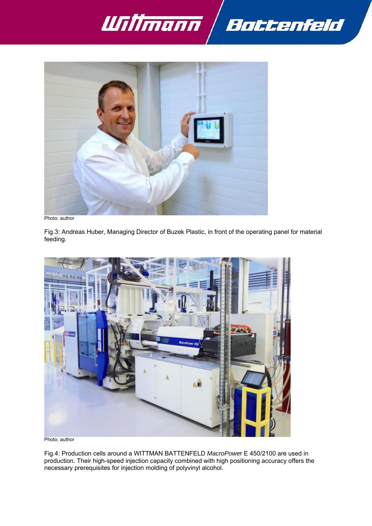



Photo: author

Fig.3: Andreas Huber, Managing Director of Buzek Plastic, in front of the operating panel for material feeding.



Fig.4: Production cells around a WITTMAN BATTENFELD *MacroPowe*r E 450/2100 are used in production. Their high-speed injection capacity combined with high positioning accuracy offers the necessary prerequisites for injection molding of polyvinyl alcohol.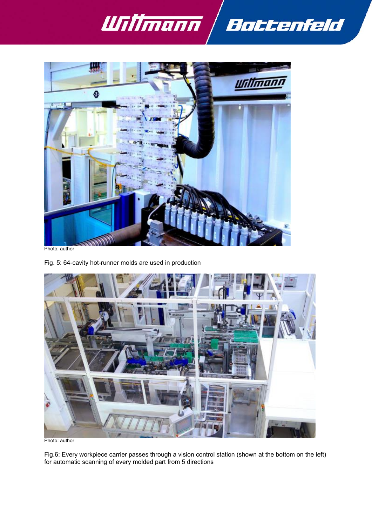



Fig. 5: 64-cavity hot-runner molds are used in production



Fig.6: Every workpiece carrier passes through a vision control station (shown at the bottom on the left) for automatic scanning of every molded part from 5 directions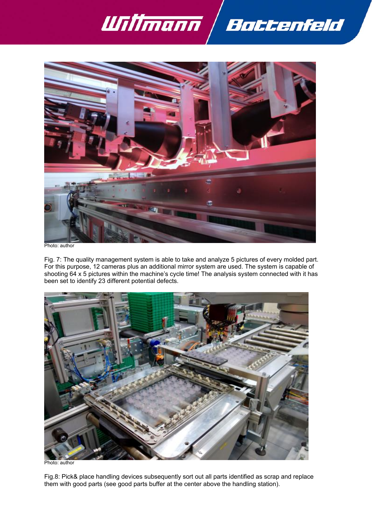



Fig. 7: The quality management system is able to take and analyze 5 pictures of every molded part. For this purpose, 12 cameras plus an additional mirror system are used. The system is capable of shooting 64 x 5 pictures within the machine's cycle time! The analysis system connected with it has been set to identify 23 different potential defects.



Fig.8: Pick& place handling devices subsequently sort out all parts identified as scrap and replace them with good parts (see good parts buffer at the center above the handling station).